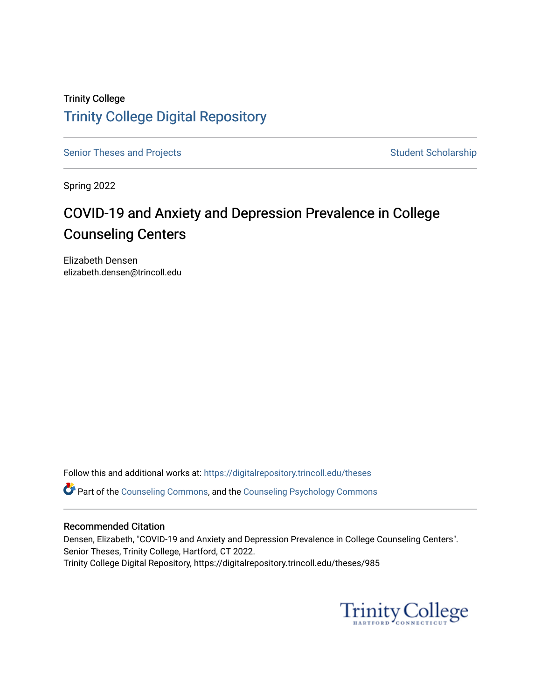# Trinity College [Trinity College Digital Repository](https://digitalrepository.trincoll.edu/)

[Senior Theses and Projects](https://digitalrepository.trincoll.edu/theses) Senior Theses and Projects Student Scholarship

Spring 2022

# COVID-19 and Anxiety and Depression Prevalence in College Counseling Centers

Elizabeth Densen elizabeth.densen@trincoll.edu

Follow this and additional works at: [https://digitalrepository.trincoll.edu/theses](https://digitalrepository.trincoll.edu/theses?utm_source=digitalrepository.trincoll.edu%2Ftheses%2F985&utm_medium=PDF&utm_campaign=PDFCoverPages)

**P** Part of the [Counseling Commons,](https://network.bepress.com/hgg/discipline/1268?utm_source=digitalrepository.trincoll.edu%2Ftheses%2F985&utm_medium=PDF&utm_campaign=PDFCoverPages) and the [Counseling Psychology Commons](https://network.bepress.com/hgg/discipline/1044?utm_source=digitalrepository.trincoll.edu%2Ftheses%2F985&utm_medium=PDF&utm_campaign=PDFCoverPages)

#### Recommended Citation

Densen, Elizabeth, "COVID-19 and Anxiety and Depression Prevalence in College Counseling Centers". Senior Theses, Trinity College, Hartford, CT 2022. Trinity College Digital Repository, https://digitalrepository.trincoll.edu/theses/985

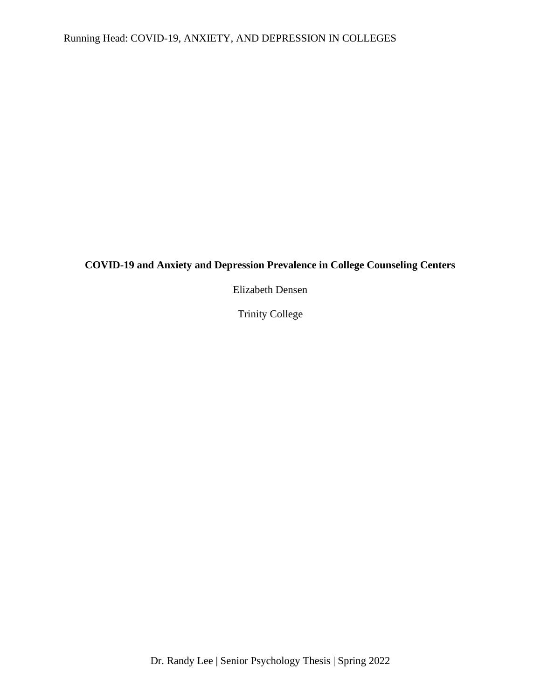# **COVID-19 and Anxiety and Depression Prevalence in College Counseling Centers**

Elizabeth Densen

Trinity College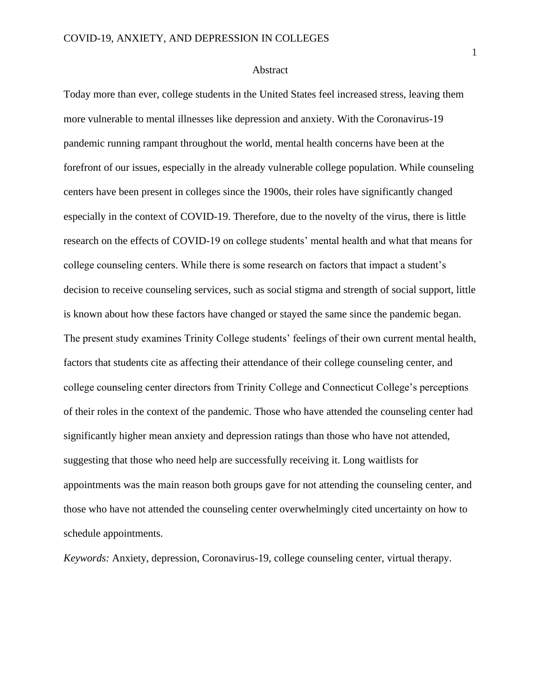#### Abstract

Today more than ever, college students in the United States feel increased stress, leaving them more vulnerable to mental illnesses like depression and anxiety. With the Coronavirus-19 pandemic running rampant throughout the world, mental health concerns have been at the forefront of our issues, especially in the already vulnerable college population. While counseling centers have been present in colleges since the 1900s, their roles have significantly changed especially in the context of COVID-19. Therefore, due to the novelty of the virus, there is little research on the effects of COVID-19 on college students' mental health and what that means for college counseling centers. While there is some research on factors that impact a student's decision to receive counseling services, such as social stigma and strength of social support, little is known about how these factors have changed or stayed the same since the pandemic began. The present study examines Trinity College students' feelings of their own current mental health, factors that students cite as affecting their attendance of their college counseling center, and college counseling center directors from Trinity College and Connecticut College's perceptions of their roles in the context of the pandemic. Those who have attended the counseling center had significantly higher mean anxiety and depression ratings than those who have not attended, suggesting that those who need help are successfully receiving it. Long waitlists for appointments was the main reason both groups gave for not attending the counseling center, and those who have not attended the counseling center overwhelmingly cited uncertainty on how to schedule appointments.

*Keywords:* Anxiety, depression, Coronavirus-19, college counseling center, virtual therapy.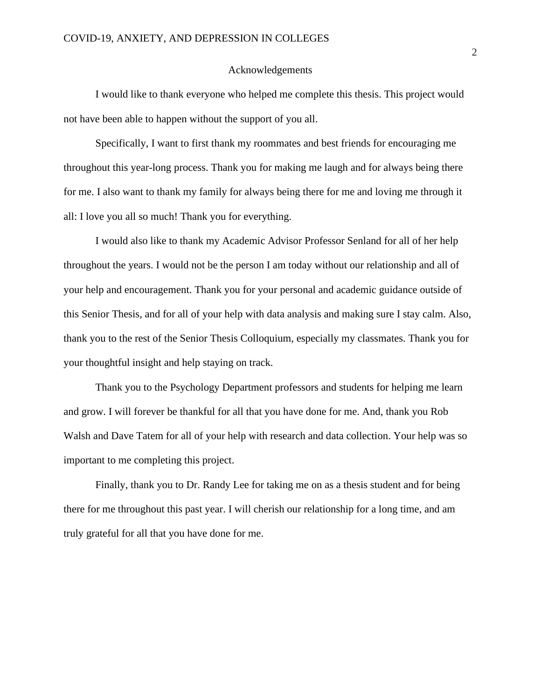#### Acknowledgements

I would like to thank everyone who helped me complete this thesis. This project would not have been able to happen without the support of you all.

Specifically, I want to first thank my roommates and best friends for encouraging me throughout this year-long process. Thank you for making me laugh and for always being there for me. I also want to thank my family for always being there for me and loving me through it all: I love you all so much! Thank you for everything.

I would also like to thank my Academic Advisor Professor Senland for all of her help throughout the years. I would not be the person I am today without our relationship and all of your help and encouragement. Thank you for your personal and academic guidance outside of this Senior Thesis, and for all of your help with data analysis and making sure I stay calm. Also, thank you to the rest of the Senior Thesis Colloquium, especially my classmates. Thank you for your thoughtful insight and help staying on track.

Thank you to the Psychology Department professors and students for helping me learn and grow. I will forever be thankful for all that you have done for me. And, thank you Rob Walsh and Dave Tatem for all of your help with research and data collection. Your help was so important to me completing this project.

Finally, thank you to Dr. Randy Lee for taking me on as a thesis student and for being there for me throughout this past year. I will cherish our relationship for a long time, and am truly grateful for all that you have done for me.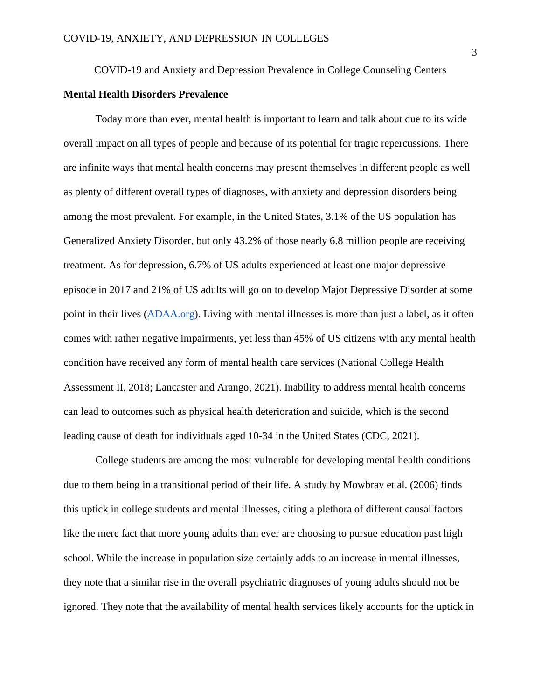#### COVID-19 and Anxiety and Depression Prevalence in College Counseling Centers

#### **Mental Health Disorders Prevalence**

Today more than ever, mental health is important to learn and talk about due to its wide overall impact on all types of people and because of its potential for tragic repercussions. There are infinite ways that mental health concerns may present themselves in different people as well as plenty of different overall types of diagnoses, with anxiety and depression disorders being among the most prevalent. For example, in the United States, 3.1% of the US population has Generalized Anxiety Disorder, but only 43.2% of those nearly 6.8 million people are receiving treatment. As for depression, 6.7% of US adults experienced at least one major depressive episode in 2017 and 21% of US adults will go on to develop Major Depressive Disorder at some point in their lives [\(ADAA.org\)](https://adaa.org/understanding-anxiety/depression/facts-statistics). Living with mental illnesses is more than just a label, as it often comes with rather negative impairments, yet less than 45% of US citizens with any mental health condition have received any form of mental health care services (National College Health Assessment II, 2018; Lancaster and Arango, 2021). Inability to address mental health concerns can lead to outcomes such as physical health deterioration and suicide, which is the second leading cause of death for individuals aged 10-34 in the United States (CDC, 2021).

College students are among the most vulnerable for developing mental health conditions due to them being in a transitional period of their life. A study by Mowbray et al. (2006) finds this uptick in college students and mental illnesses, citing a plethora of different causal factors like the mere fact that more young adults than ever are choosing to pursue education past high school. While the increase in population size certainly adds to an increase in mental illnesses, they note that a similar rise in the overall psychiatric diagnoses of young adults should not be ignored. They note that the availability of mental health services likely accounts for the uptick in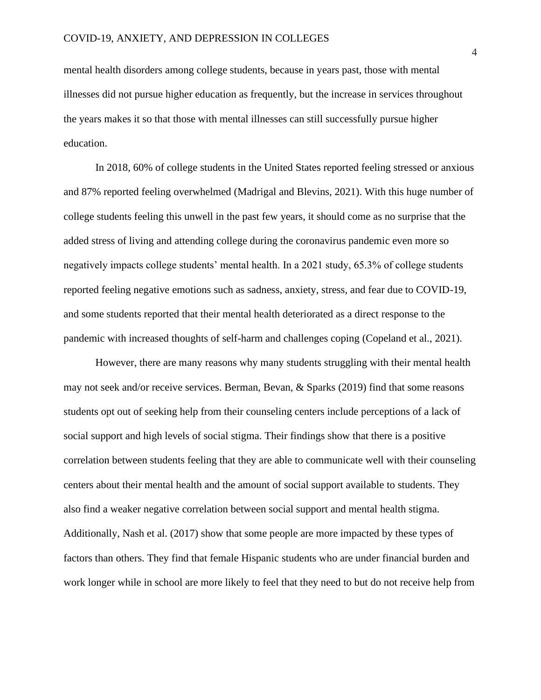mental health disorders among college students, because in years past, those with mental illnesses did not pursue higher education as frequently, but the increase in services throughout the years makes it so that those with mental illnesses can still successfully pursue higher education.

In 2018, 60% of college students in the United States reported feeling stressed or anxious and 87% reported feeling overwhelmed (Madrigal and Blevins, 2021). With this huge number of college students feeling this unwell in the past few years, it should come as no surprise that the added stress of living and attending college during the coronavirus pandemic even more so negatively impacts college students' mental health. In a 2021 study, 65.3% of college students reported feeling negative emotions such as sadness, anxiety, stress, and fear due to COVID-19, and some students reported that their mental health deteriorated as a direct response to the pandemic with increased thoughts of self-harm and challenges coping (Copeland et al., 2021).

However, there are many reasons why many students struggling with their mental health may not seek and/or receive services. Berman, Bevan, & Sparks (2019) find that some reasons students opt out of seeking help from their counseling centers include perceptions of a lack of social support and high levels of social stigma. Their findings show that there is a positive correlation between students feeling that they are able to communicate well with their counseling centers about their mental health and the amount of social support available to students. They also find a weaker negative correlation between social support and mental health stigma. Additionally, Nash et al. (2017) show that some people are more impacted by these types of factors than others. They find that female Hispanic students who are under financial burden and work longer while in school are more likely to feel that they need to but do not receive help from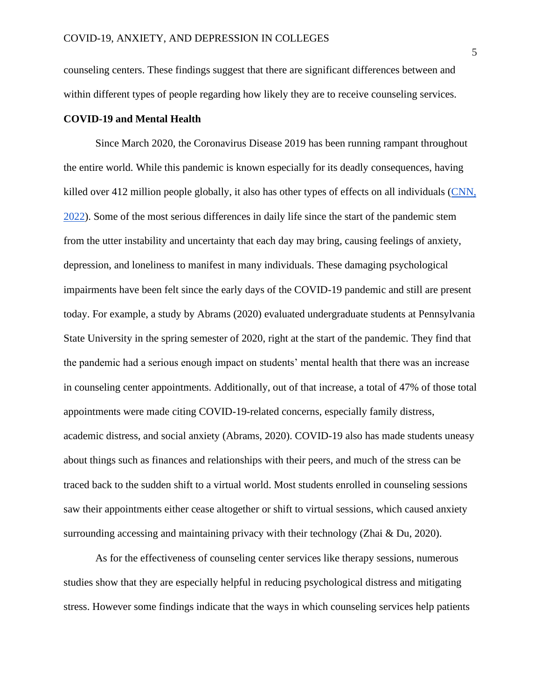counseling centers. These findings suggest that there are significant differences between and within different types of people regarding how likely they are to receive counseling services.

#### **COVID-19 and Mental Health**

Since March 2020, the Coronavirus Disease 2019 has been running rampant throughout the entire world. While this pandemic is known especially for its deadly consequences, having killed over 412 million people globally, it also has other types of effects on all individuals [\(CNN,](https://www.cnn.com/interactive/2020/health/coronavirus-maps-and-cases/)  [2022\)](https://www.cnn.com/interactive/2020/health/coronavirus-maps-and-cases/). Some of the most serious differences in daily life since the start of the pandemic stem from the utter instability and uncertainty that each day may bring, causing feelings of anxiety, depression, and loneliness to manifest in many individuals. These damaging psychological impairments have been felt since the early days of the COVID-19 pandemic and still are present today. For example, a study by Abrams (2020) evaluated undergraduate students at Pennsylvania State University in the spring semester of 2020, right at the start of the pandemic. They find that the pandemic had a serious enough impact on students' mental health that there was an increase in counseling center appointments. Additionally, out of that increase, a total of 47% of those total appointments were made citing COVID-19-related concerns, especially family distress, academic distress, and social anxiety (Abrams, 2020). COVID-19 also has made students uneasy about things such as finances and relationships with their peers, and much of the stress can be traced back to the sudden shift to a virtual world. Most students enrolled in counseling sessions saw their appointments either cease altogether or shift to virtual sessions, which caused anxiety surrounding accessing and maintaining privacy with their technology (Zhai & Du, 2020).

As for the effectiveness of counseling center services like therapy sessions, numerous studies show that they are especially helpful in reducing psychological distress and mitigating stress. However some findings indicate that the ways in which counseling services help patients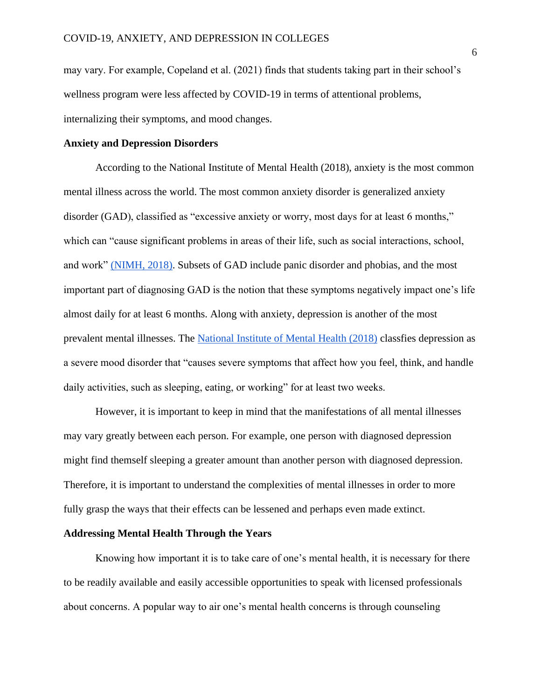may vary. For example, Copeland et al. (2021) finds that students taking part in their school's wellness program were less affected by COVID-19 in terms of attentional problems, internalizing their symptoms, and mood changes.

#### **Anxiety and Depression Disorders**

According to the National Institute of Mental Health (2018), anxiety is the most common mental illness across the world. The most common anxiety disorder is generalized anxiety disorder (GAD), classified as "excessive anxiety or worry, most days for at least 6 months," which can "cause significant problems in areas of their life, such as social interactions, school, and work" [\(NIMH, 2018\).](https://www.nimh.nih.gov/health/topics/anxiety-disorders) Subsets of GAD include panic disorder and phobias, and the most important part of diagnosing GAD is the notion that these symptoms negatively impact one's life almost daily for at least 6 months. Along with anxiety, depression is another of the most prevalent mental illnesses. The [National Institute of Mental Health \(2018\)](https://www.nimh.nih.gov/health/topics/depression) classfies depression as a severe mood disorder that "causes severe symptoms that affect how you feel, think, and handle daily activities, such as sleeping, eating, or working" for at least two weeks.

However, it is important to keep in mind that the manifestations of all mental illnesses may vary greatly between each person. For example, one person with diagnosed depression might find themself sleeping a greater amount than another person with diagnosed depression. Therefore, it is important to understand the complexities of mental illnesses in order to more fully grasp the ways that their effects can be lessened and perhaps even made extinct.

#### **Addressing Mental Health Through the Years**

Knowing how important it is to take care of one's mental health, it is necessary for there to be readily available and easily accessible opportunities to speak with licensed professionals about concerns. A popular way to air one's mental health concerns is through counseling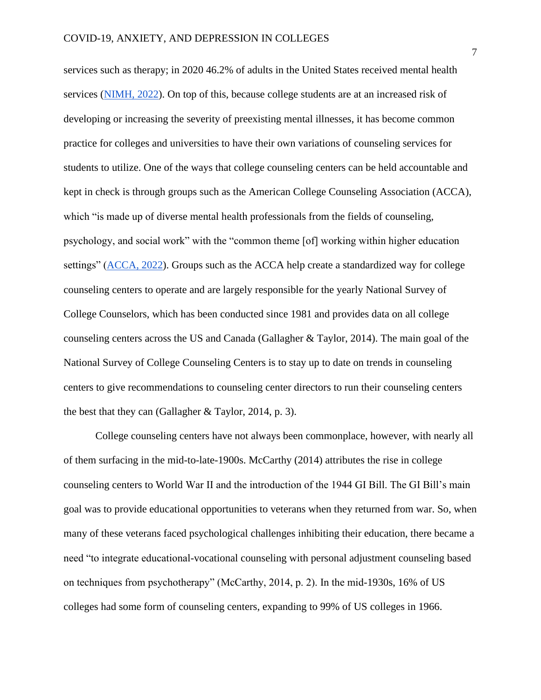services such as therapy; in 2020 46.2% of adults in the United States received mental health services [\(NIMH, 2022\)](https://www.nimh.nih.gov/health/statistics/mental-illness). On top of this, because college students are at an increased risk of developing or increasing the severity of preexisting mental illnesses, it has become common practice for colleges and universities to have their own variations of counseling services for students to utilize. One of the ways that college counseling centers can be held accountable and kept in check is through groups such as the American College Counseling Association (ACCA), which "is made up of diverse mental health professionals from the fields of counseling, psychology, and social work" with the "common theme [of] working within higher education settings" [\(ACCA, 2022\)](http://www.collegecounseling.org/). Groups such as the ACCA help create a standardized way for college counseling centers to operate and are largely responsible for the yearly National Survey of College Counselors, which has been conducted since 1981 and provides data on all college counseling centers across the US and Canada (Gallagher & Taylor, 2014). The main goal of the National Survey of College Counseling Centers is to stay up to date on trends in counseling centers to give recommendations to counseling center directors to run their counseling centers the best that they can (Gallagher & Taylor, 2014, p. 3).

College counseling centers have not always been commonplace, however, with nearly all of them surfacing in the mid-to-late-1900s. McCarthy (2014) attributes the rise in college counseling centers to World War II and the introduction of the 1944 GI Bill. The GI Bill's main goal was to provide educational opportunities to veterans when they returned from war. So, when many of these veterans faced psychological challenges inhibiting their education, there became a need "to integrate educational-vocational counseling with personal adjustment counseling based on techniques from psychotherapy" (McCarthy, 2014, p. 2). In the mid-1930s, 16% of US colleges had some form of counseling centers, expanding to 99% of US colleges in 1966.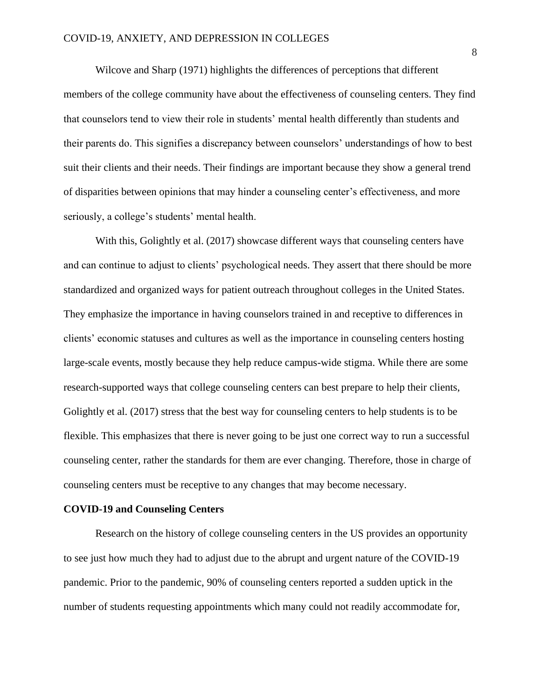Wilcove and Sharp (1971) highlights the differences of perceptions that different members of the college community have about the effectiveness of counseling centers. They find that counselors tend to view their role in students' mental health differently than students and their parents do. This signifies a discrepancy between counselors' understandings of how to best suit their clients and their needs. Their findings are important because they show a general trend of disparities between opinions that may hinder a counseling center's effectiveness, and more seriously, a college's students' mental health.

With this, Golightly et al. (2017) showcase different ways that counseling centers have and can continue to adjust to clients' psychological needs. They assert that there should be more standardized and organized ways for patient outreach throughout colleges in the United States. They emphasize the importance in having counselors trained in and receptive to differences in clients' economic statuses and cultures as well as the importance in counseling centers hosting large-scale events, mostly because they help reduce campus-wide stigma. While there are some research-supported ways that college counseling centers can best prepare to help their clients, Golightly et al. (2017) stress that the best way for counseling centers to help students is to be flexible. This emphasizes that there is never going to be just one correct way to run a successful counseling center, rather the standards for them are ever changing. Therefore, those in charge of counseling centers must be receptive to any changes that may become necessary.

#### **COVID-19 and Counseling Centers**

Research on the history of college counseling centers in the US provides an opportunity to see just how much they had to adjust due to the abrupt and urgent nature of the COVID-19 pandemic. Prior to the pandemic, 90% of counseling centers reported a sudden uptick in the number of students requesting appointments which many could not readily accommodate for,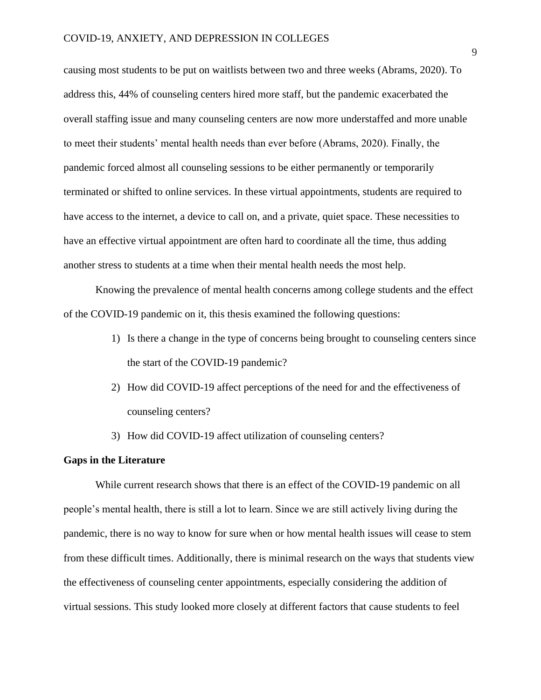causing most students to be put on waitlists between two and three weeks (Abrams, 2020). To address this, 44% of counseling centers hired more staff, but the pandemic exacerbated the overall staffing issue and many counseling centers are now more understaffed and more unable to meet their students' mental health needs than ever before (Abrams, 2020). Finally, the pandemic forced almost all counseling sessions to be either permanently or temporarily terminated or shifted to online services. In these virtual appointments, students are required to have access to the internet, a device to call on, and a private, quiet space. These necessities to have an effective virtual appointment are often hard to coordinate all the time, thus adding another stress to students at a time when their mental health needs the most help.

Knowing the prevalence of mental health concerns among college students and the effect of the COVID-19 pandemic on it, this thesis examined the following questions:

- 1) Is there a change in the type of concerns being brought to counseling centers since the start of the COVID-19 pandemic?
- 2) How did COVID-19 affect perceptions of the need for and the effectiveness of counseling centers?
- 3) How did COVID-19 affect utilization of counseling centers?

#### **Gaps in the Literature**

While current research shows that there is an effect of the COVID-19 pandemic on all people's mental health, there is still a lot to learn. Since we are still actively living during the pandemic, there is no way to know for sure when or how mental health issues will cease to stem from these difficult times. Additionally, there is minimal research on the ways that students view the effectiveness of counseling center appointments, especially considering the addition of virtual sessions. This study looked more closely at different factors that cause students to feel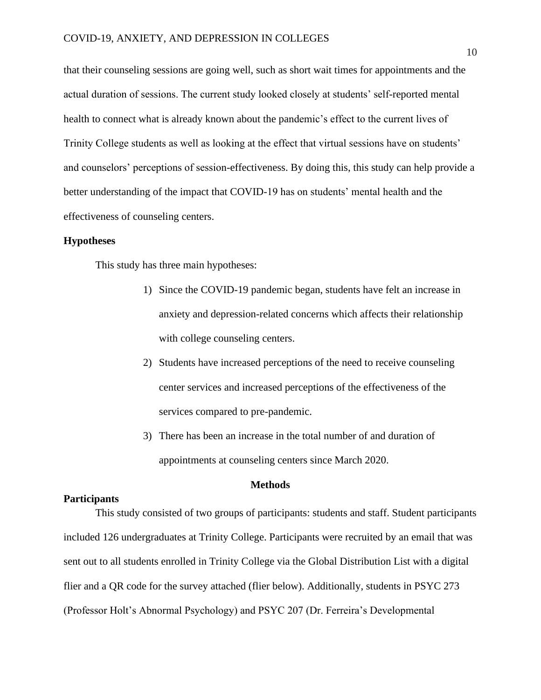that their counseling sessions are going well, such as short wait times for appointments and the actual duration of sessions. The current study looked closely at students' self-reported mental health to connect what is already known about the pandemic's effect to the current lives of Trinity College students as well as looking at the effect that virtual sessions have on students' and counselors' perceptions of session-effectiveness. By doing this, this study can help provide a better understanding of the impact that COVID-19 has on students' mental health and the effectiveness of counseling centers.

#### **Hypotheses**

This study has three main hypotheses:

- 1) Since the COVID-19 pandemic began, students have felt an increase in anxiety and depression-related concerns which affects their relationship with college counseling centers.
- 2) Students have increased perceptions of the need to receive counseling center services and increased perceptions of the effectiveness of the services compared to pre-pandemic.
- 3) There has been an increase in the total number of and duration of appointments at counseling centers since March 2020.

#### **Methods**

#### **Participants**

This study consisted of two groups of participants: students and staff. Student participants included 126 undergraduates at Trinity College. Participants were recruited by an email that was sent out to all students enrolled in Trinity College via the Global Distribution List with a digital flier and a QR code for the survey attached (flier below). Additionally, students in PSYC 273 (Professor Holt's Abnormal Psychology) and PSYC 207 (Dr. Ferreira's Developmental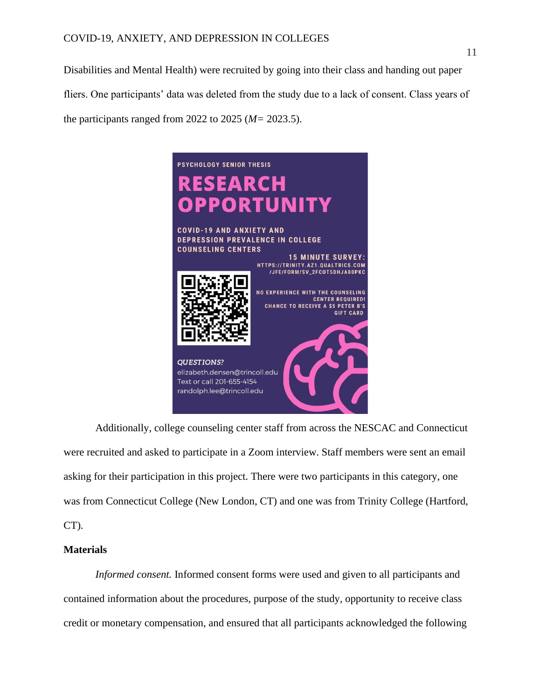Disabilities and Mental Health) were recruited by going into their class and handing out paper fliers. One participants' data was deleted from the study due to a lack of consent. Class years of the participants ranged from 2022 to 2025 (*M=* 2023.5).



Additionally, college counseling center staff from across the NESCAC and Connecticut were recruited and asked to participate in a Zoom interview. Staff members were sent an email asking for their participation in this project. There were two participants in this category, one was from Connecticut College (New London, CT) and one was from Trinity College (Hartford, CT).

### **Materials**

*Informed consent.* Informed consent forms were used and given to all participants and contained information about the procedures, purpose of the study, opportunity to receive class credit or monetary compensation, and ensured that all participants acknowledged the following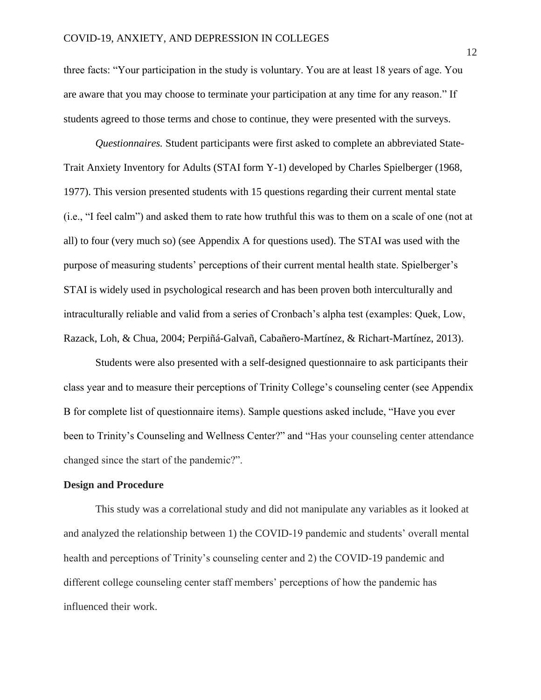three facts: "Your participation in the study is voluntary. You are at least 18 years of age. You are aware that you may choose to terminate your participation at any time for any reason." If students agreed to those terms and chose to continue, they were presented with the surveys.

*Questionnaires.* Student participants were first asked to complete an abbreviated State-Trait Anxiety Inventory for Adults (STAI form Y-1) developed by Charles Spielberger (1968, 1977). This version presented students with 15 questions regarding their current mental state (i.e., "I feel calm") and asked them to rate how truthful this was to them on a scale of one (not at all) to four (very much so) (see Appendix A for questions used). The STAI was used with the purpose of measuring students' perceptions of their current mental health state. Spielberger's STAI is widely used in psychological research and has been proven both interculturally and intraculturally reliable and valid from a series of Cronbach's alpha test (examples: Quek, Low, Razack, Loh, & Chua, 2004; Perpiñá-Galvañ, Cabañero-Martínez, & Richart-Martínez, 2013).

Students were also presented with a self-designed questionnaire to ask participants their class year and to measure their perceptions of Trinity College's counseling center (see Appendix B for complete list of questionnaire items). Sample questions asked include, "Have you ever been to Trinity's Counseling and Wellness Center?" and "Has your counseling center attendance changed since the start of the pandemic?".

#### **Design and Procedure**

This study was a correlational study and did not manipulate any variables as it looked at and analyzed the relationship between 1) the COVID-19 pandemic and students' overall mental health and perceptions of Trinity's counseling center and 2) the COVID-19 pandemic and different college counseling center staff members' perceptions of how the pandemic has influenced their work.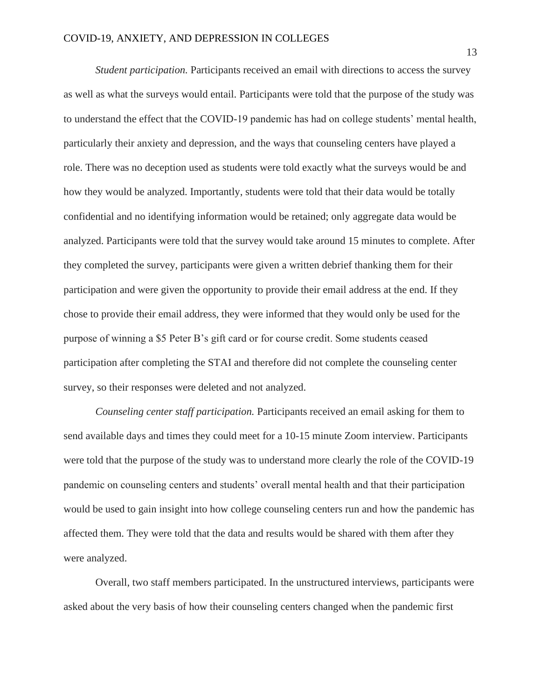*Student participation.* Participants received an email with directions to access the survey as well as what the surveys would entail. Participants were told that the purpose of the study was to understand the effect that the COVID-19 pandemic has had on college students' mental health, particularly their anxiety and depression, and the ways that counseling centers have played a role. There was no deception used as students were told exactly what the surveys would be and how they would be analyzed. Importantly, students were told that their data would be totally confidential and no identifying information would be retained; only aggregate data would be analyzed. Participants were told that the survey would take around 15 minutes to complete. After they completed the survey, participants were given a written debrief thanking them for their participation and were given the opportunity to provide their email address at the end. If they chose to provide their email address, they were informed that they would only be used for the purpose of winning a \$5 Peter B's gift card or for course credit. Some students ceased participation after completing the STAI and therefore did not complete the counseling center survey, so their responses were deleted and not analyzed.

*Counseling center staff participation.* Participants received an email asking for them to send available days and times they could meet for a 10-15 minute Zoom interview. Participants were told that the purpose of the study was to understand more clearly the role of the COVID-19 pandemic on counseling centers and students' overall mental health and that their participation would be used to gain insight into how college counseling centers run and how the pandemic has affected them. They were told that the data and results would be shared with them after they were analyzed.

Overall, two staff members participated. In the unstructured interviews, participants were asked about the very basis of how their counseling centers changed when the pandemic first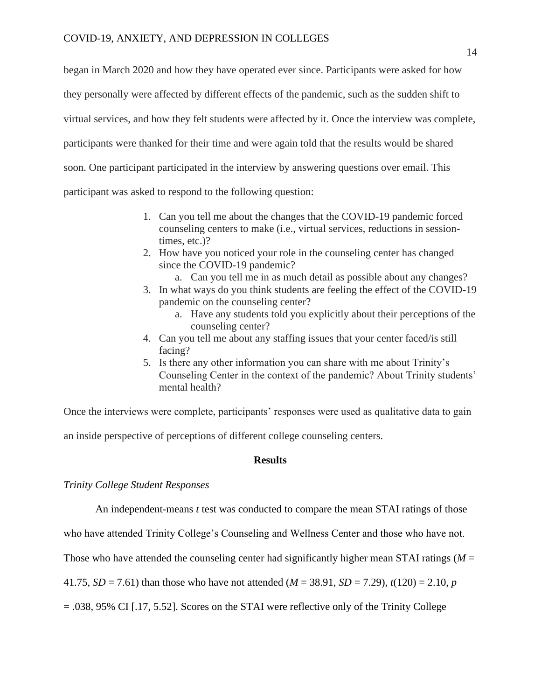began in March 2020 and how they have operated ever since. Participants were asked for how they personally were affected by different effects of the pandemic, such as the sudden shift to virtual services, and how they felt students were affected by it. Once the interview was complete, participants were thanked for their time and were again told that the results would be shared soon. One participant participated in the interview by answering questions over email. This participant was asked to respond to the following question:

- 1. Can you tell me about the changes that the COVID-19 pandemic forced counseling centers to make (i.e., virtual services, reductions in sessiontimes, etc.)?
- 2. How have you noticed your role in the counseling center has changed since the COVID-19 pandemic?
	- a. Can you tell me in as much detail as possible about any changes?
- 3. In what ways do you think students are feeling the effect of the COVID-19 pandemic on the counseling center?
	- a. Have any students told you explicitly about their perceptions of the counseling center?
- 4. Can you tell me about any staffing issues that your center faced/is still facing?
- 5. Is there any other information you can share with me about Trinity's Counseling Center in the context of the pandemic? About Trinity students' mental health?

Once the interviews were complete, participants' responses were used as qualitative data to gain

an inside perspective of perceptions of different college counseling centers.

#### **Results**

#### *Trinity College Student Responses*

An independent-means *t* test was conducted to compare the mean STAI ratings of those

who have attended Trinity College's Counseling and Wellness Center and those who have not.

Those who have attended the counseling center had significantly higher mean STAI ratings ( $M =$ 

41.75, *SD* = 7.61) than those who have not attended ( $M = 38.91$ , *SD* = 7.29),  $t(120) = 2.10$ , *p* 

= .038, 95% CI [.17, 5.52]. Scores on the STAI were reflective only of the Trinity College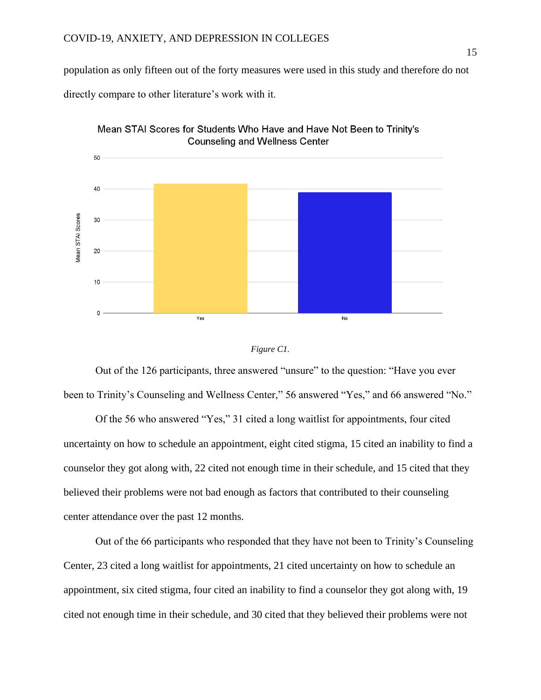population as only fifteen out of the forty measures were used in this study and therefore do not

directly compare to other literature's work with it.





Out of the 126 participants, three answered "unsure" to the question: "Have you ever been to Trinity's Counseling and Wellness Center," 56 answered "Yes," and 66 answered "No."

Of the 56 who answered "Yes," 31 cited a long waitlist for appointments, four cited uncertainty on how to schedule an appointment, eight cited stigma, 15 cited an inability to find a counselor they got along with, 22 cited not enough time in their schedule, and 15 cited that they believed their problems were not bad enough as factors that contributed to their counseling center attendance over the past 12 months.

Out of the 66 participants who responded that they have not been to Trinity's Counseling Center, 23 cited a long waitlist for appointments, 21 cited uncertainty on how to schedule an appointment, six cited stigma, four cited an inability to find a counselor they got along with, 19 cited not enough time in their schedule, and 30 cited that they believed their problems were not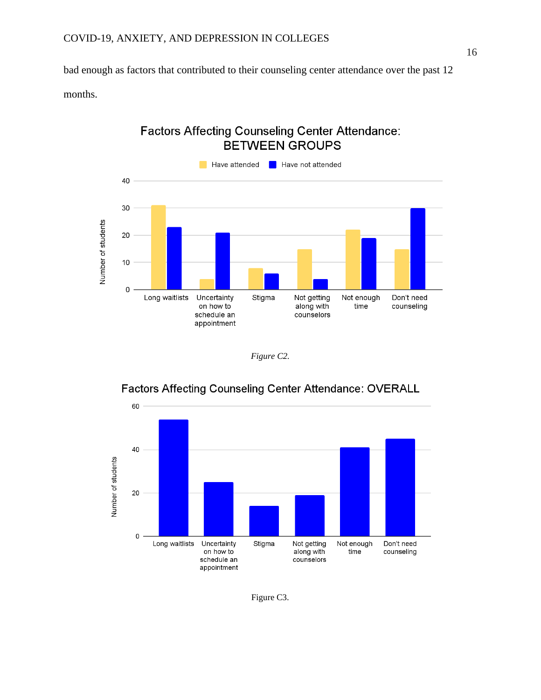bad enough as factors that contributed to their counseling center attendance over the past 12

months.

# **Factors Affecting Counseling Center Attendance: BETWEEN GROUPS**



*Figure C2.*



# **Factors Affecting Counseling Center Attendance: OVERALL**

Figure C3.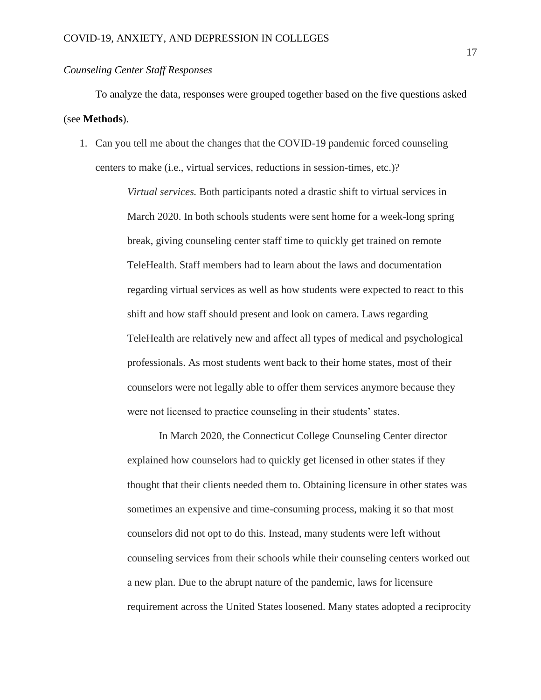#### *Counseling Center Staff Responses*

To analyze the data, responses were grouped together based on the five questions asked (see **Methods**).

1. Can you tell me about the changes that the COVID-19 pandemic forced counseling centers to make (i.e., virtual services, reductions in session-times, etc.)?

> *Virtual services.* Both participants noted a drastic shift to virtual services in March 2020. In both schools students were sent home for a week-long spring break, giving counseling center staff time to quickly get trained on remote TeleHealth. Staff members had to learn about the laws and documentation regarding virtual services as well as how students were expected to react to this shift and how staff should present and look on camera. Laws regarding TeleHealth are relatively new and affect all types of medical and psychological professionals. As most students went back to their home states, most of their counselors were not legally able to offer them services anymore because they were not licensed to practice counseling in their students' states.

In March 2020, the Connecticut College Counseling Center director explained how counselors had to quickly get licensed in other states if they thought that their clients needed them to. Obtaining licensure in other states was sometimes an expensive and time-consuming process, making it so that most counselors did not opt to do this. Instead, many students were left without counseling services from their schools while their counseling centers worked out a new plan. Due to the abrupt nature of the pandemic, laws for licensure requirement across the United States loosened. Many states adopted a reciprocity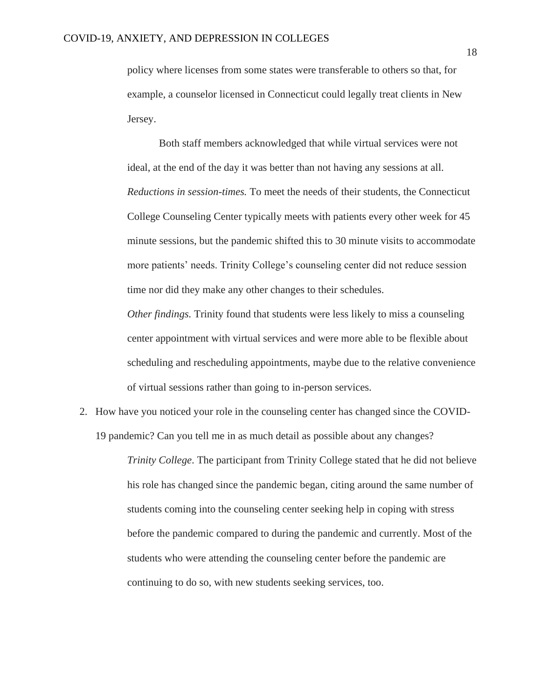policy where licenses from some states were transferable to others so that, for example, a counselor licensed in Connecticut could legally treat clients in New Jersey.

Both staff members acknowledged that while virtual services were not ideal, at the end of the day it was better than not having any sessions at all. *Reductions in session-times.* To meet the needs of their students, the Connecticut College Counseling Center typically meets with patients every other week for 45 minute sessions, but the pandemic shifted this to 30 minute visits to accommodate more patients' needs. Trinity College's counseling center did not reduce session time nor did they make any other changes to their schedules.

*Other findings.* Trinity found that students were less likely to miss a counseling center appointment with virtual services and were more able to be flexible about scheduling and rescheduling appointments, maybe due to the relative convenience of virtual sessions rather than going to in-person services.

2. How have you noticed your role in the counseling center has changed since the COVID-19 pandemic? Can you tell me in as much detail as possible about any changes?

> *Trinity College*. The participant from Trinity College stated that he did not believe his role has changed since the pandemic began, citing around the same number of students coming into the counseling center seeking help in coping with stress before the pandemic compared to during the pandemic and currently. Most of the students who were attending the counseling center before the pandemic are continuing to do so, with new students seeking services, too.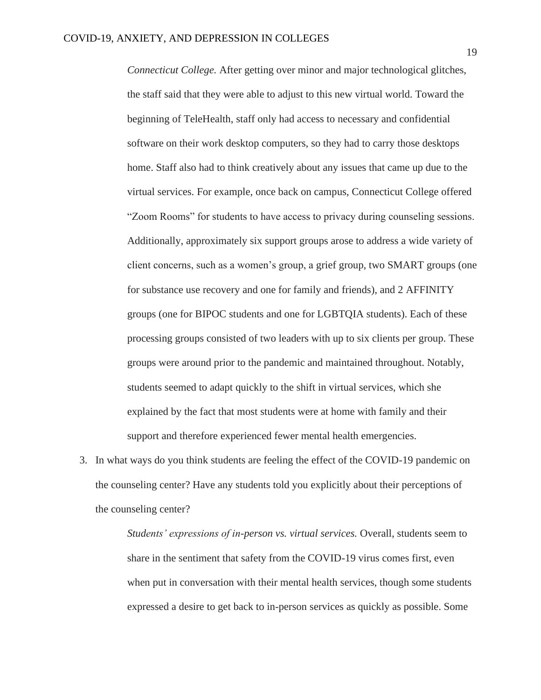*Connecticut College.* After getting over minor and major technological glitches, the staff said that they were able to adjust to this new virtual world. Toward the beginning of TeleHealth, staff only had access to necessary and confidential software on their work desktop computers, so they had to carry those desktops home. Staff also had to think creatively about any issues that came up due to the virtual services. For example, once back on campus, Connecticut College offered "Zoom Rooms" for students to have access to privacy during counseling sessions. Additionally, approximately six support groups arose to address a wide variety of client concerns, such as a women's group, a grief group, two SMART groups (one for substance use recovery and one for family and friends), and 2 AFFINITY groups (one for BIPOC students and one for LGBTQIA students). Each of these processing groups consisted of two leaders with up to six clients per group. These groups were around prior to the pandemic and maintained throughout. Notably, students seemed to adapt quickly to the shift in virtual services, which she explained by the fact that most students were at home with family and their support and therefore experienced fewer mental health emergencies.

3. In what ways do you think students are feeling the effect of the COVID-19 pandemic on the counseling center? Have any students told you explicitly about their perceptions of the counseling center?

> *Students' expressions of in-person vs. virtual services.* Overall, students seem to share in the sentiment that safety from the COVID-19 virus comes first, even when put in conversation with their mental health services, though some students expressed a desire to get back to in-person services as quickly as possible. Some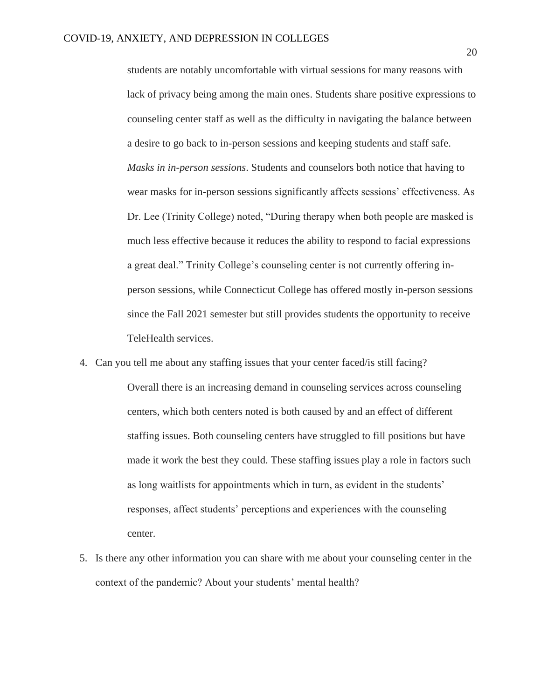students are notably uncomfortable with virtual sessions for many reasons with lack of privacy being among the main ones. Students share positive expressions to counseling center staff as well as the difficulty in navigating the balance between a desire to go back to in-person sessions and keeping students and staff safe. *Masks in in-person sessions*. Students and counselors both notice that having to wear masks for in-person sessions significantly affects sessions' effectiveness. As Dr. Lee (Trinity College) noted, "During therapy when both people are masked is much less effective because it reduces the ability to respond to facial expressions a great deal." Trinity College's counseling center is not currently offering inperson sessions, while Connecticut College has offered mostly in-person sessions since the Fall 2021 semester but still provides students the opportunity to receive TeleHealth services.

- 4. Can you tell me about any staffing issues that your center faced/is still facing? Overall there is an increasing demand in counseling services across counseling centers, which both centers noted is both caused by and an effect of different staffing issues. Both counseling centers have struggled to fill positions but have made it work the best they could. These staffing issues play a role in factors such as long waitlists for appointments which in turn, as evident in the students' responses, affect students' perceptions and experiences with the counseling center.
- 5. Is there any other information you can share with me about your counseling center in the context of the pandemic? About your students' mental health?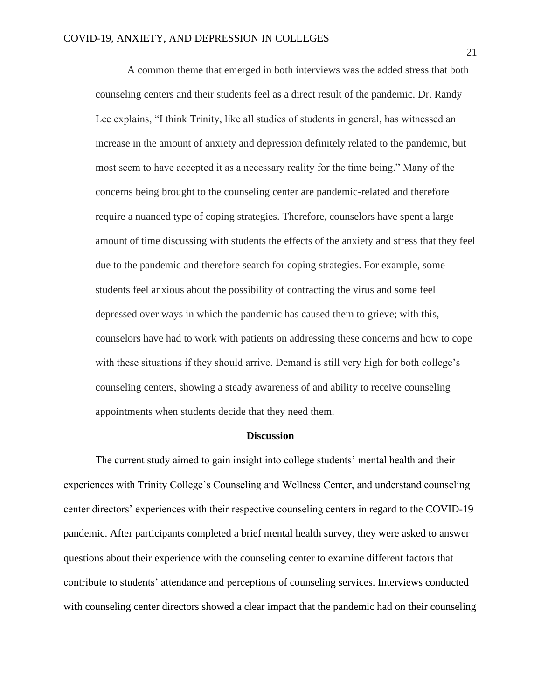A common theme that emerged in both interviews was the added stress that both counseling centers and their students feel as a direct result of the pandemic. Dr. Randy Lee explains, "I think Trinity, like all studies of students in general, has witnessed an increase in the amount of anxiety and depression definitely related to the pandemic, but most seem to have accepted it as a necessary reality for the time being." Many of the concerns being brought to the counseling center are pandemic-related and therefore require a nuanced type of coping strategies. Therefore, counselors have spent a large amount of time discussing with students the effects of the anxiety and stress that they feel due to the pandemic and therefore search for coping strategies. For example, some students feel anxious about the possibility of contracting the virus and some feel depressed over ways in which the pandemic has caused them to grieve; with this, counselors have had to work with patients on addressing these concerns and how to cope with these situations if they should arrive. Demand is still very high for both college's counseling centers, showing a steady awareness of and ability to receive counseling appointments when students decide that they need them.

#### **Discussion**

The current study aimed to gain insight into college students' mental health and their experiences with Trinity College's Counseling and Wellness Center, and understand counseling center directors' experiences with their respective counseling centers in regard to the COVID-19 pandemic. After participants completed a brief mental health survey, they were asked to answer questions about their experience with the counseling center to examine different factors that contribute to students' attendance and perceptions of counseling services. Interviews conducted with counseling center directors showed a clear impact that the pandemic had on their counseling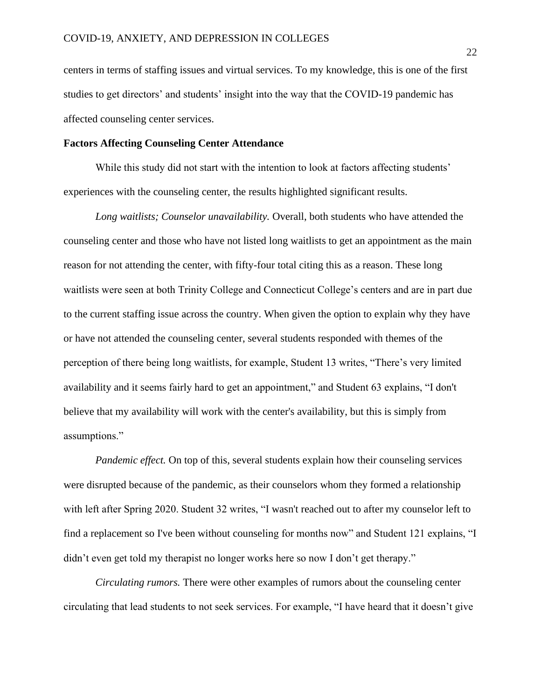centers in terms of staffing issues and virtual services. To my knowledge, this is one of the first studies to get directors' and students' insight into the way that the COVID-19 pandemic has affected counseling center services.

#### **Factors Affecting Counseling Center Attendance**

While this study did not start with the intention to look at factors affecting students' experiences with the counseling center, the results highlighted significant results.

*Long waitlists; Counselor unavailability.* Overall, both students who have attended the counseling center and those who have not listed long waitlists to get an appointment as the main reason for not attending the center, with fifty-four total citing this as a reason. These long waitlists were seen at both Trinity College and Connecticut College's centers and are in part due to the current staffing issue across the country. When given the option to explain why they have or have not attended the counseling center, several students responded with themes of the perception of there being long waitlists, for example, Student 13 writes, "There's very limited availability and it seems fairly hard to get an appointment," and Student 63 explains, "I don't believe that my availability will work with the center's availability, but this is simply from assumptions."

*Pandemic effect*. On top of this, several students explain how their counseling services were disrupted because of the pandemic, as their counselors whom they formed a relationship with left after Spring 2020. Student 32 writes, "I wasn't reached out to after my counselor left to find a replacement so I've been without counseling for months now" and Student 121 explains, "I didn't even get told my therapist no longer works here so now I don't get therapy."

*Circulating rumors.* There were other examples of rumors about the counseling center circulating that lead students to not seek services. For example, "I have heard that it doesn't give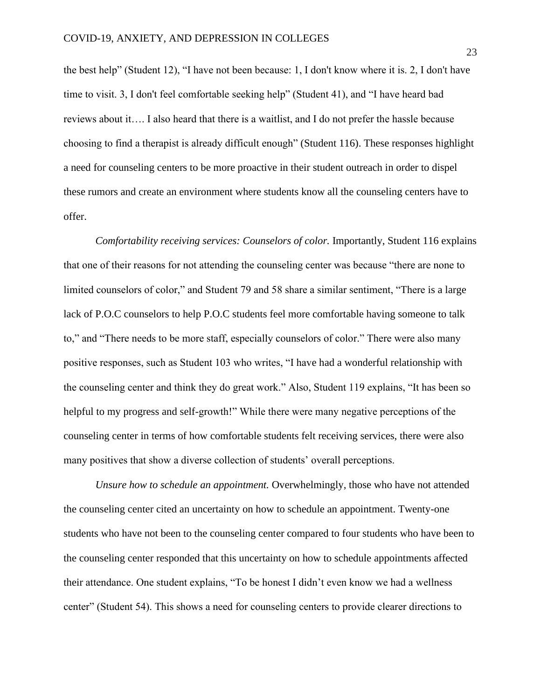the best help" (Student 12), "I have not been because: 1, I don't know where it is. 2, I don't have time to visit. 3, I don't feel comfortable seeking help" (Student 41), and "I have heard bad reviews about it…. I also heard that there is a waitlist, and I do not prefer the hassle because choosing to find a therapist is already difficult enough" (Student 116). These responses highlight a need for counseling centers to be more proactive in their student outreach in order to dispel these rumors and create an environment where students know all the counseling centers have to offer.

*Comfortability receiving services: Counselors of color.* Importantly, Student 116 explains that one of their reasons for not attending the counseling center was because "there are none to limited counselors of color," and Student 79 and 58 share a similar sentiment, "There is a large lack of P.O.C counselors to help P.O.C students feel more comfortable having someone to talk to," and "There needs to be more staff, especially counselors of color." There were also many positive responses, such as Student 103 who writes, "I have had a wonderful relationship with the counseling center and think they do great work." Also, Student 119 explains, "It has been so helpful to my progress and self-growth!" While there were many negative perceptions of the counseling center in terms of how comfortable students felt receiving services, there were also many positives that show a diverse collection of students' overall perceptions.

*Unsure how to schedule an appointment.* Overwhelmingly, those who have not attended the counseling center cited an uncertainty on how to schedule an appointment. Twenty-one students who have not been to the counseling center compared to four students who have been to the counseling center responded that this uncertainty on how to schedule appointments affected their attendance. One student explains, "To be honest I didn't even know we had a wellness center" (Student 54). This shows a need for counseling centers to provide clearer directions to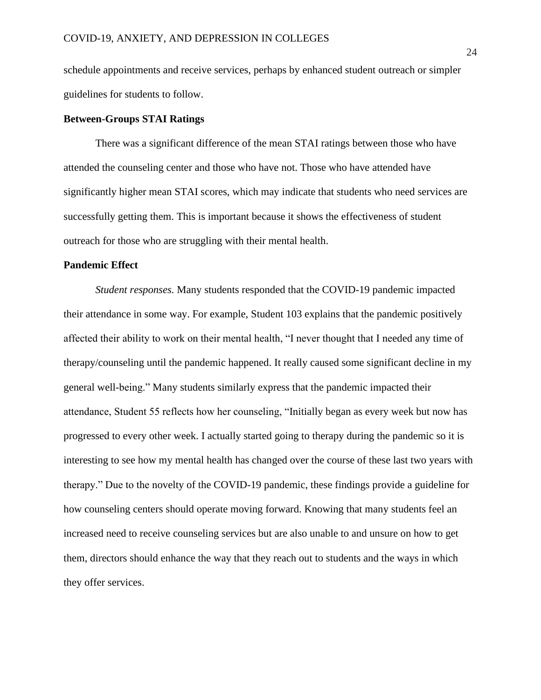schedule appointments and receive services, perhaps by enhanced student outreach or simpler guidelines for students to follow.

#### **Between-Groups STAI Ratings**

There was a significant difference of the mean STAI ratings between those who have attended the counseling center and those who have not. Those who have attended have significantly higher mean STAI scores, which may indicate that students who need services are successfully getting them. This is important because it shows the effectiveness of student outreach for those who are struggling with their mental health.

#### **Pandemic Effect**

*Student responses.* Many students responded that the COVID-19 pandemic impacted their attendance in some way. For example, Student 103 explains that the pandemic positively affected their ability to work on their mental health, "I never thought that I needed any time of therapy/counseling until the pandemic happened. It really caused some significant decline in my general well-being." Many students similarly express that the pandemic impacted their attendance, Student 55 reflects how her counseling, "Initially began as every week but now has progressed to every other week. I actually started going to therapy during the pandemic so it is interesting to see how my mental health has changed over the course of these last two years with therapy." Due to the novelty of the COVID-19 pandemic, these findings provide a guideline for how counseling centers should operate moving forward. Knowing that many students feel an increased need to receive counseling services but are also unable to and unsure on how to get them, directors should enhance the way that they reach out to students and the ways in which they offer services.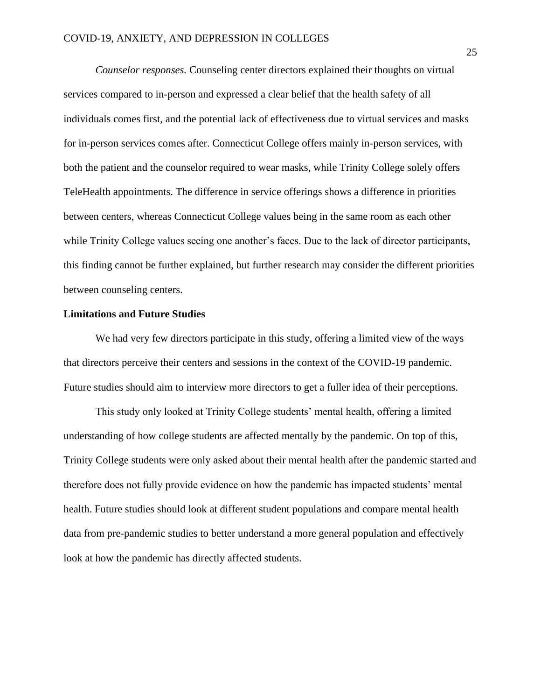*Counselor responses.* Counseling center directors explained their thoughts on virtual services compared to in-person and expressed a clear belief that the health safety of all individuals comes first, and the potential lack of effectiveness due to virtual services and masks for in-person services comes after. Connecticut College offers mainly in-person services, with both the patient and the counselor required to wear masks, while Trinity College solely offers TeleHealth appointments. The difference in service offerings shows a difference in priorities between centers, whereas Connecticut College values being in the same room as each other while Trinity College values seeing one another's faces. Due to the lack of director participants, this finding cannot be further explained, but further research may consider the different priorities between counseling centers.

#### **Limitations and Future Studies**

We had very few directors participate in this study, offering a limited view of the ways that directors perceive their centers and sessions in the context of the COVID-19 pandemic. Future studies should aim to interview more directors to get a fuller idea of their perceptions.

This study only looked at Trinity College students' mental health, offering a limited understanding of how college students are affected mentally by the pandemic. On top of this, Trinity College students were only asked about their mental health after the pandemic started and therefore does not fully provide evidence on how the pandemic has impacted students' mental health. Future studies should look at different student populations and compare mental health data from pre-pandemic studies to better understand a more general population and effectively look at how the pandemic has directly affected students.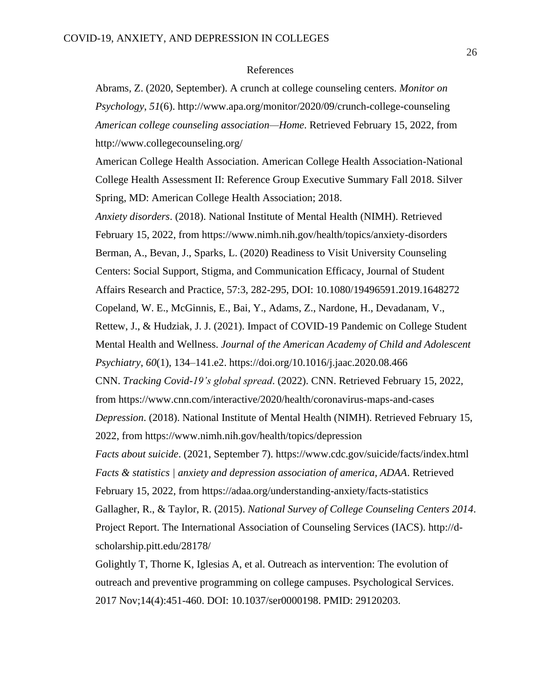#### References

Abrams, Z. (2020, September). A crunch at college counseling centers. *Monitor on Psychology*, *51*(6). http://www.apa.org/monitor/2020/09/crunch-college-counseling *American college counseling association—Home*. Retrieved February 15, 2022, from <http://www.collegecounseling.org/>

American College Health Association. American College Health Association-National College Health Assessment II: Reference Group Executive Summary Fall 2018. Silver Spring, MD: American College Health Association; 2018.

*Anxiety disorders*. (2018). National Institute of Mental Health (NIMH). Retrieved February 15, 2022, from https://www.nimh.nih.gov/health/topics/anxiety-disorders Berman, A., Bevan, J., Sparks, L. (2020) Readiness to Visit University Counseling Centers: Social Support, Stigma, and Communication Efficacy, Journal of Student Affairs Research and Practice, 57:3, 282-295, DOI: [10.1080/19496591.2019.1648272](https://doi.org/10.1080/19496591.2019.1648272) Copeland, W. E., McGinnis, E., Bai, Y., Adams, Z., Nardone, H., Devadanam, V., Rettew, J., & Hudziak, J. J. (2021). Impact of COVID-19 Pandemic on College Student Mental Health and Wellness. *Journal of the American Academy of Child and Adolescent Psychiatry*, *60*(1), 134–141.e2. https://doi.org/10.1016/j.jaac.2020.08.466 CNN. *Tracking Covid-19's global spread*. (2022). CNN. Retrieved February 15, 2022, from<https://www.cnn.com/interactive/2020/health/coronavirus-maps-and-cases> *Depression*. (2018). National Institute of Mental Health (NIMH). Retrieved February 15, 2022, from<https://www.nimh.nih.gov/health/topics/depression> *Facts about suicide*. (2021, September 7). https://www.cdc.gov/suicide/facts/index.html *Facts & statistics | anxiety and depression association of america, ADAA*. Retrieved February 15, 2022, from<https://adaa.org/understanding-anxiety/facts-statistics> Gallagher, R., & Taylor, R. (2015). *National Survey of College Counseling Centers 2014*. Project Report. The International Association of Counseling Services (IACS). [http://d](http://d-scholarship.pitt.edu/28178/)[scholarship.pitt.edu/28178/](http://d-scholarship.pitt.edu/28178/)

Golightly T, Thorne K, Iglesias A, et al. Outreach as intervention: The evolution of outreach and preventive programming on college campuses. Psychological Services. 2017 Nov;14(4):451-460. DOI: 10.1037/ser0000198. PMID: 29120203.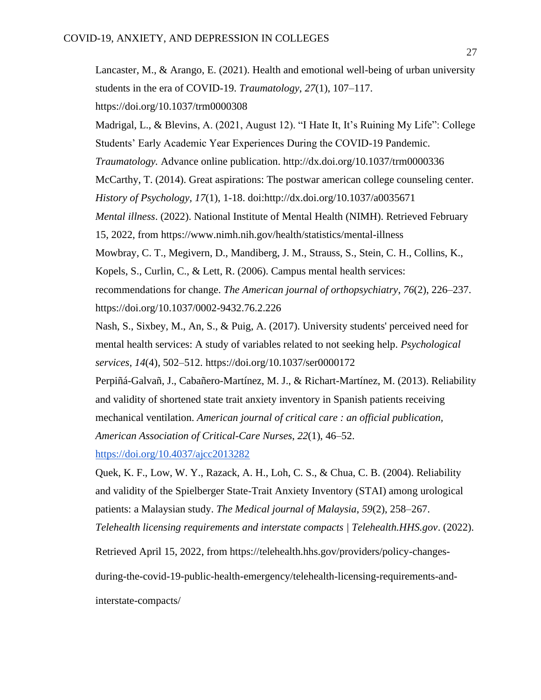Lancaster, M., & Arango, E. (2021). Health and emotional well-being of urban university students in the era of COVID-19. *Traumatology*, *27*(1), 107–117. <https://doi.org/10.1037/trm0000308> Madrigal, L., & Blevins, A. (2021, August 12). "I Hate It, It's Ruining My Life": College Students' Early Academic Year Experiences During the COVID-19 Pandemic. *Traumatology.* Advance online publication. http://dx.doi.org/10.1037/trm0000336 McCarthy, T. (2014). Great aspirations: The postwar american college counseling center.

*History of Psychology, 17*(1), 1-18. doi[:http://dx.doi.org/10.1037/a0035671](http://dx.doi.org/10.1037/a0035671)

*Mental illness*. (2022). National Institute of Mental Health (NIMH). Retrieved February

15, 2022, from<https://www.nimh.nih.gov/health/statistics/mental-illness>

Mowbray, C. T., Megivern, D., Mandiberg, J. M., Strauss, S., Stein, C. H., Collins, K., Kopels, S., Curlin, C., & Lett, R. (2006). Campus mental health services: recommendations for change. *The American journal of orthopsychiatry*, *76*(2), 226–237. <https://doi.org/10.1037/0002-9432.76.2.226>

Nash, S., Sixbey, M., An, S., & Puig, A. (2017). University students' perceived need for mental health services: A study of variables related to not seeking help. *Psychological services*, *14*(4), 502–512.<https://doi.org/10.1037/ser0000172>

Perpiñá-Galvañ, J., Cabañero-Martínez, M. J., & Richart-Martínez, M. (2013). Reliability and validity of shortened state trait anxiety inventory in Spanish patients receiving mechanical ventilation. *American journal of critical care : an official publication, American Association of Critical-Care Nurses*, *22*(1), 46–52.

<https://doi.org/10.4037/ajcc2013282>

Quek, K. F., Low, W. Y., Razack, A. H., Loh, C. S., & Chua, C. B. (2004). Reliability and validity of the Spielberger State-Trait Anxiety Inventory (STAI) among urological patients: a Malaysian study. *The Medical journal of Malaysia*, *59*(2), 258–267. *Telehealth licensing requirements and interstate compacts | Telehealth.HHS.gov*. (2022).

Retrieved April 15, 2022, from https://telehealth.hhs.gov/providers/policy-changes-

during-the-covid-19-public-health-emergency/telehealth-licensing-requirements-and-

interstate-compacts/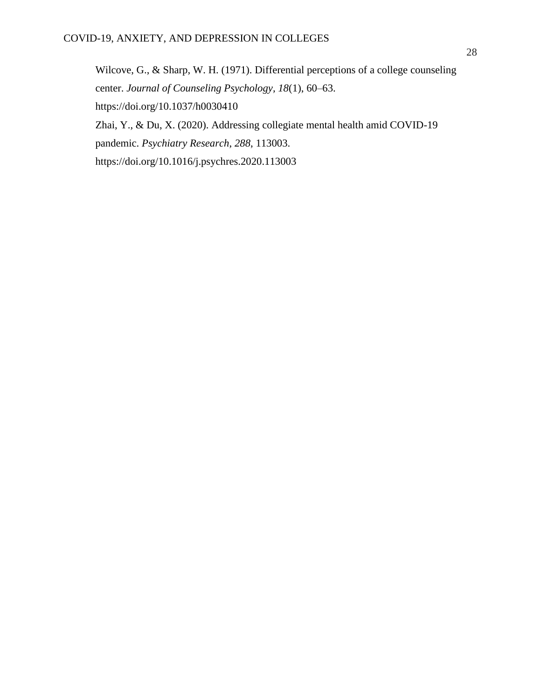Wilcove, G., & Sharp, W. H. (1971). Differential perceptions of a college counseling center. *Journal of Counseling Psychology, 18*(1), 60–63. [https://doi.org/10.1037/h0030410](https://content.apa.org/doi/10.1037/h0030410) Zhai, Y., & Du, X. (2020). Addressing collegiate mental health amid COVID-19 pandemic. *Psychiatry Research*, *288*, 113003. <https://doi.org/10.1016/j.psychres.2020.113003>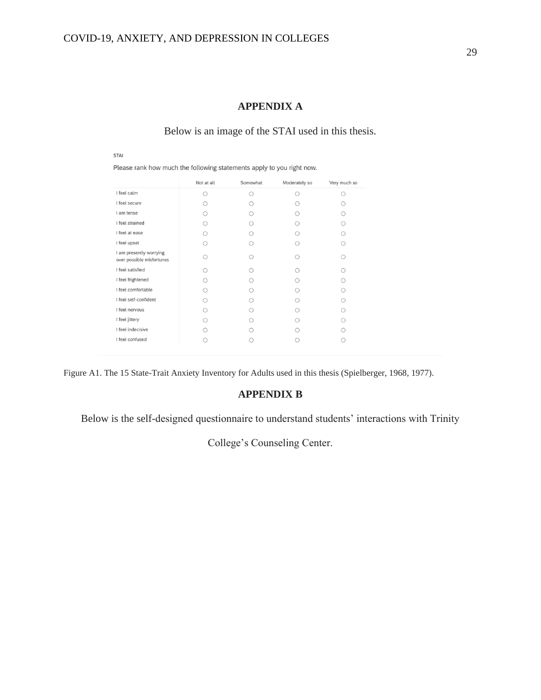### **APPENDIX A**

### Below is an image of the STAI used in this thesis.

**STAI** 

Please rank how much the following statements apply to you right now.

|                                                      | Not at all | Somewhat | Moderately so | Very much so |
|------------------------------------------------------|------------|----------|---------------|--------------|
| I feel calm                                          | ∩          |          | ∩             |              |
| I feel secure                                        |            |          |               |              |
| I am tense                                           |            |          |               |              |
| I feel strained                                      |            |          |               |              |
| I feel at ease                                       |            |          |               |              |
| I feel upset                                         |            |          |               |              |
| I am presently worrying<br>over possible misfortunes |            |          |               |              |
| I feel satisfied                                     |            |          |               |              |
| I feel frightened                                    |            |          |               |              |
| I feel comfortable                                   |            |          |               |              |
| I feel self-confident                                |            |          |               |              |
| I feel nervous                                       |            |          |               |              |
| I feel jittery                                       |            |          |               |              |
| I feel indecisive                                    |            |          |               |              |
| I feel confused                                      |            |          |               |              |

Figure A1. The 15 State-Trait Anxiety Inventory for Adults used in this thesis (Spielberger, 1968, 1977).

### **APPENDIX B**

Below is the self-designed questionnaire to understand students' interactions with Trinity

College's Counseling Center.